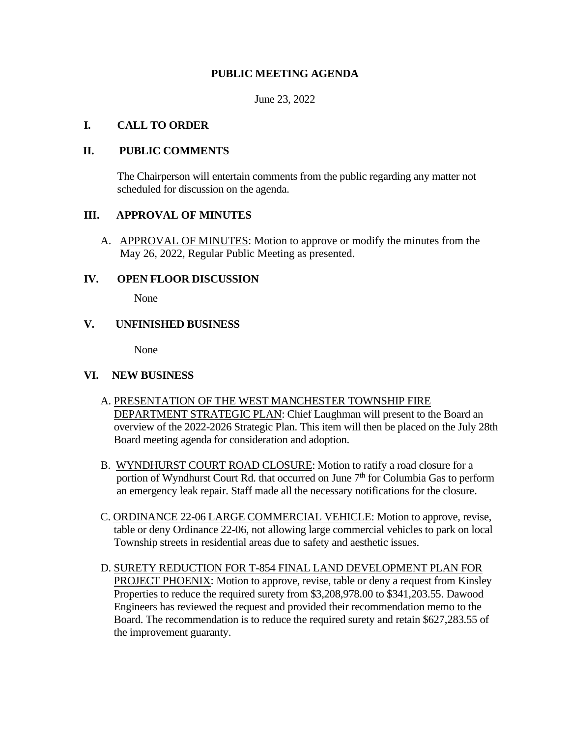# **PUBLIC MEETING AGENDA**

June 23, 2022

#### **I. CALL TO ORDER**

#### **II. PUBLIC COMMENTS**

The Chairperson will entertain comments from the public regarding any matter not scheduled for discussion on the agenda.

## **III. APPROVAL OF MINUTES**

A. APPROVAL OF MINUTES: Motion to approve or modify the minutes from the May 26, 2022, Regular Public Meeting as presented.

#### **IV. OPEN FLOOR DISCUSSION**

None

## **V. UNFINISHED BUSINESS**

None

#### **VI. NEW BUSINESS**

- A. PRESENTATION OF THE WEST MANCHESTER TOWNSHIP FIRE DEPARTMENT STRATEGIC PLAN: Chief Laughman will present to the Board an overview of the 2022-2026 Strategic Plan. This item will then be placed on the July 28th Board meeting agenda for consideration and adoption.
- B. WYNDHURST COURT ROAD CLOSURE: Motion to ratify a road closure for a portion of Wyndhurst Court Rd. that occurred on June  $7<sup>th</sup>$  for Columbia Gas to perform an emergency leak repair. Staff made all the necessary notifications for the closure.
- C. ORDINANCE 22-06 LARGE COMMERCIAL VEHICLE: Motion to approve, revise, table or deny Ordinance 22-06, not allowing large commercial vehicles to park on local Township streets in residential areas due to safety and aesthetic issues.
- D. SURETY REDUCTION FOR T-854 FINAL LAND DEVELOPMENT PLAN FOR PROJECT PHOENIX: Motion to approve, revise, table or deny a request from Kinsley Properties to reduce the required surety from \$3,208,978.00 to \$341,203.55. Dawood Engineers has reviewed the request and provided their recommendation memo to the Board. The recommendation is to reduce the required surety and retain \$627,283.55 of the improvement guaranty.